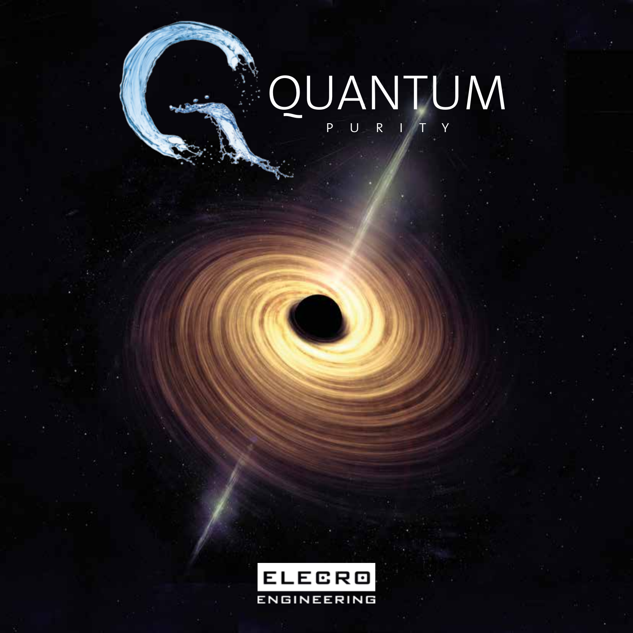# QUANTUM PURITY

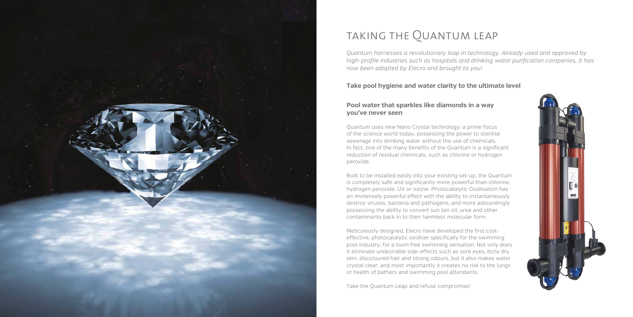

### taking the Quantum leap

### **Take pool hygiene and water clarity to the ultimate level**

#### **Pool water that sparkles like diamonds in a way you've never seen**

Quantum uses new Nano Crystal technology: a prime focus of the science world today; possessing the power to sterilise sewerage into drinking water without the use of chemicals. In fact, one of the many benefits of the Quantum is a significant reduction of residual chemicals, such as chlorine or hydrogen peroxide.

Meticulously designed, Elecro have developed the first costeffective, photocatalytic oxidiser specifically for the swimming pool industry, for a toxin free swimming sensation. Not only does it eliminate undesirable side-effects such as sore eyes, itchy dry skin, discoloured hair and strong odours, but it also makes water crystal clear, and most importantly it creates no risk to the lungs or health of bathers and swimming pool attendants.

Built to be installed easily into your existing set-up, the Quantum is completely safe and significantly more powerful than chlorine, hydrogen peroxide, UV or ozone. Photocatalytic Oxidisation has an immensely powerful effect with the ability to instantaneously destroy viruses, bacteria and pathogens, and more astoundingly possessing the ability to convert sun tan oil, urea and other contaminants back in to their harmless molecular form.

Take the Quantum Leap and refuse compromise!



*Quantum harnesses a revolutionary leap in technology. Already used and approved by* high-profile industries such as hospitals and drinking water purification companies, it has *now been adopted by Elecro and brought to you!*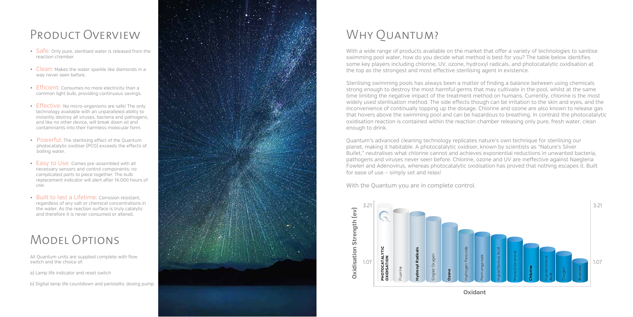### Product Overview

All Quantum units are supplied complete with flow switch and the choice of:

### Model Options

a) Lamp life indicator and reset switch



## WHY OUANTUM?

With a wide range of products available on the market that offer a variety of technologies to sanitise swimming pool water, how do you decide what method is best for you? The table below identifies some key players including chlorine, UV, ozone, hydroxyl radicals, and photocatalytic oxidisation at the top as the strongest and most effective sterilising agent in existence.

- Safe: Only pure, sterilised water is released from the reaction chamber.
- way never seen before.
- Efficient: Consumes no more electricity than a common light bulb, providing continuous savings.
- Clean: Makes the water sparkle like diamonds in a<br>
 expressen before.<br>
 Effective: No micro-organisms are safel The only<br>
technology available with an unparalleled ability to<br>
the strong puasible with an unparalleled  $\cdot$  Effective: No micro-organisms are safe! The only technology available with an unparalleled ability to instantly destroy all viruses, bacteria and pathogens, and like no other device, will break down oil and contaminants into their harmless molecular form.
- Powerful: The sterilising effect of the Quantum photocatalytic oxidiser (PCO) exceeds the effects of boiling water.
- Easy to Use: Comes pre-assembled with all necessary sensors and control components: no complicated parts to piece together. The bulb replacement indicator will alert after 14,000 hours of use.
- Built to last a Lifetime: Corrosion resistant, regardless of any salt or chemical concentrations in the water. As the reaction surface is truly catalytic and therefore it is never consumed or altered.

Sterilising swimming pools has always been a matter of finding a balance between using chemicals strong enough to destroy the most harmful germs that may cultivate in the pool, whilst at the same time limiting the negative impact of the treatment method on humans. Currently, chlorine is the most widely used sterilisation method. The side effects though can be irritation to the skin and eyes, and the inconvenience of continually topping up the dosage. Chlorine and ozone are also known to release gas that hovers above the swimming pool and can be hazardous to breathing. In contrast the photocatalytic oxidisation reaction is contained within the reaction chamber releasing only pure, fresh water, clean enough to drink.



Quantum's advanced cleaning technology replicates nature's own technique for sterilising our planet, making it habitable. A photocatalytic oxidiser, known by scientists as "Nature's Silver Bullet," neutralises what chlorine cannot and achieves exponential reductions in unwanted bacteria, pathogens and viruses never seen before. Chlorine, ozone and UV are ineffective against Naegleria Fowleri and Adenovirus, whereas photocatalytic oxidisation has proved that nothing escapes it. Built for ease of use – simply set and relax!

With the Quantum you are in complete control.

**Oxidant**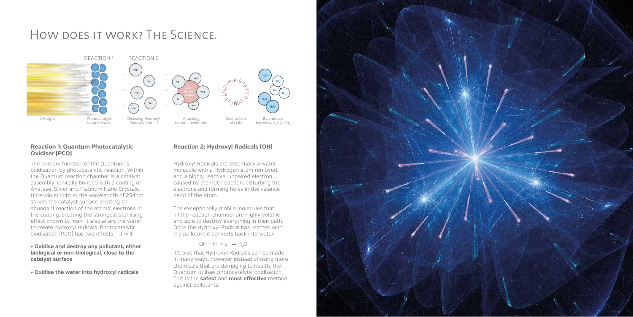### How does it work? The Science.

The primary function of the Quantum is oxidisation by photocatalytic reaction. Within the Quantum reaction chamber is a catalyst assembly, ionically bonded with a coating of Anatase, Silver and Platinum Nano Crystals. Ultra-violet light at the wavelength of 254nm strikes the catalyst surface creating an abundant reaction of the atoms' electrons in the coating, creating the strongest sterilising effect known to man. It also alters the water to create hydroxyl radicals. Photocatalytic oxidisation (PCO) has two effects - it will:



#### **Reaction 1: Quantum Photocatalytic Oxidiser (PCO)**

**• Oxidise and destroy any pollutant, either biological or non-biological, close to the catalyst surface**

**• Oxidise the water into hydroxyl radicals**

### **Reaction 2: Hydroxyl Radicals (OH)**

Hydroxyl Radicals are essentially a water molecule with a Hydrogen atom removed, and a highly reactive, unpaired electron, caused by the PCO reaction, disturbing the electrons and forming holes in the valance band of the atom.

The exceptionally mobile molecules that fill the reaction chamber are highly volatile and able to destroy everything in their path. Once the Hydroxyl Radical has reacted with the pollutant it converts back into water:

#### $OH + H^+ + e^- \rightarrow H_2O$

It's true that Hydroxyl Radicals can be made in many ways, however instead of using more chemicals that are damaging to health, the Quantum utilises photocatalytic oxidisation. This is the **safest** and **most effective** method against pollutants.

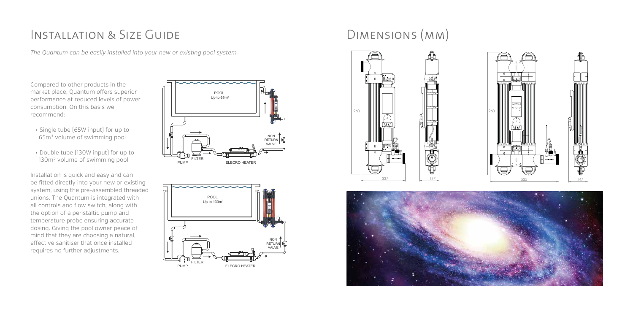Compared to other products in the market place, Quantum offers superior performance at reduced levels of power consumption. On this basis we recommend:

- Single tube (65W input) for up to 65m<sup>3</sup> volume of swimming pool
- Double tube (130W input) for up to 130m<sup>3</sup> volume of swimming pool

Installation is quick and easy and can be fitted directly into your new or existing system, using the pre-assembled threaded unions. The Quantum is integrated with all controls and flow switch, along with the option of a peristaltic pump and temperature probe ensuring accurate dosing. Giving the pool owner peace of mind that they are choosing a natural, effective sanitiser that once installed requires no further adjustments.

### INSTALLATION & SIZE GUIDE DIMENSIONS (MM)

*The Quantum can be easily installed into your new or existing pool system.*











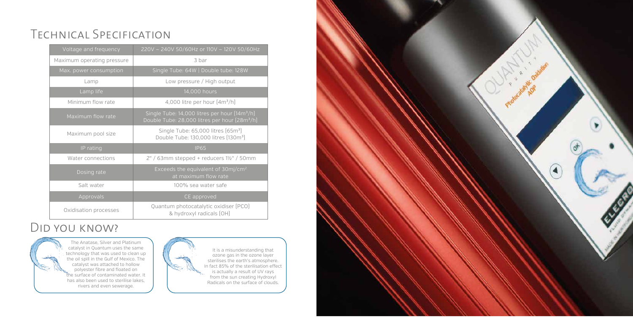## Technical Specification

| Voltage and frequency      | 220V ~ 240V 50/60Hz or 110V ~ 120V 50/60Hz                                                                             |
|----------------------------|------------------------------------------------------------------------------------------------------------------------|
| Maximum operating pressure | 3 bar                                                                                                                  |
| Max. power consumption     | Single Tube: 64W   Double tube: 128W                                                                                   |
| Lamp                       | Low pressure / High output                                                                                             |
| Lamp life                  | 14,000 hours                                                                                                           |
| Minimum flow rate          | 4,000 litre per hour $[4m^3/h]$                                                                                        |
| Maximum flow rate          | Single Tube: 14,000 litres per hour [14m <sup>3</sup> /h]<br>Double Tube: 28,000 litres per hour (28m <sup>3</sup> /h) |
| Maximum pool size          | Single Tube: 65,000 litres (65m <sup>3</sup> )<br>Double Tube: 130,000 litres [130m <sup>3</sup> ]                     |
| IP rating                  | <b>IP65</b>                                                                                                            |
| Water connections          | $2" / 63$ mm stepped + reducers $1\frac{1}{2}$ " / 50mm                                                                |
| Dosing rate                | Exceeds the equivalent of 30mj/cm <sup>2</sup><br>at maximum flow rate                                                 |
| Salt water                 | 100% sea water safe                                                                                                    |
| Approvals                  | CE approved                                                                                                            |
| Oxidisation processes      | Quantum photocatalytic oxidiser [PCO]<br>& hydroxyl radicals [OH]                                                      |

### Did you know?

The Anatase, Silver and Platinum catalyst in Quantum uses the same technology that was used to clean up the oil spill in the Gulf of Mexico. The catalyst was attached to hollow polyester fibre and floated on the surface of contaminated water. It has also been used to sterilise lakes, rivers and even sewerage.